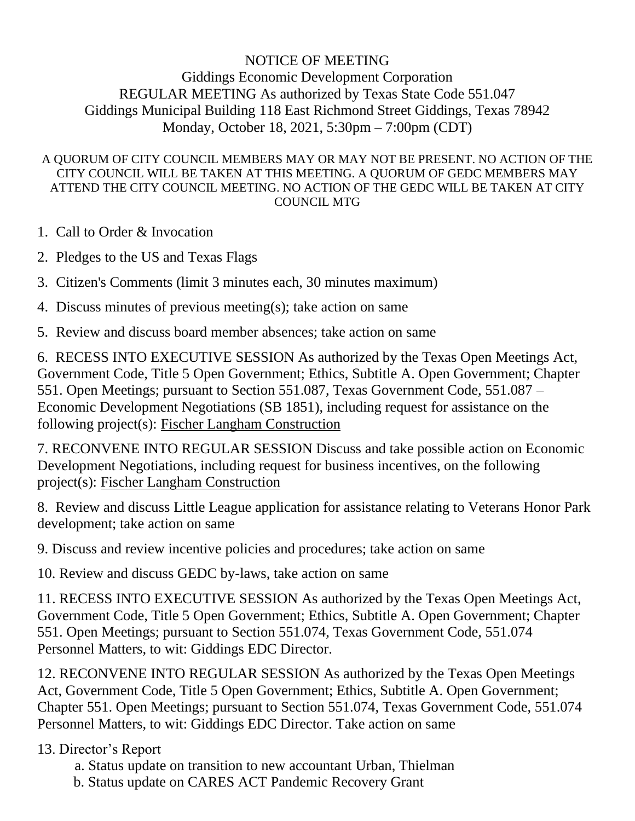## NOTICE OF MEETING Giddings Economic Development Corporation REGULAR MEETING As authorized by Texas State Code 551.047 Giddings Municipal Building 118 East Richmond Street Giddings, Texas 78942 Monday, October 18, 2021, 5:30pm – 7:00pm (CDT)

## A QUORUM OF CITY COUNCIL MEMBERS MAY OR MAY NOT BE PRESENT. NO ACTION OF THE CITY COUNCIL WILL BE TAKEN AT THIS MEETING. A QUORUM OF GEDC MEMBERS MAY ATTEND THE CITY COUNCIL MEETING. NO ACTION OF THE GEDC WILL BE TAKEN AT CITY COUNCIL MTG

- 1. Call to Order & Invocation
- 2. Pledges to the US and Texas Flags
- 3. Citizen's Comments (limit 3 minutes each, 30 minutes maximum)
- 4. Discuss minutes of previous meeting(s); take action on same
- 5. Review and discuss board member absences; take action on same

6. RECESS INTO EXECUTIVE SESSION As authorized by the Texas Open Meetings Act, Government Code, Title 5 Open Government; Ethics, Subtitle A. Open Government; Chapter 551. Open Meetings; pursuant to Section 551.087, Texas Government Code, 551.087 – Economic Development Negotiations (SB 1851), including request for assistance on the following project(s): Fischer Langham Construction

7. RECONVENE INTO REGULAR SESSION Discuss and take possible action on Economic Development Negotiations, including request for business incentives, on the following project(s): Fischer Langham Construction

8. Review and discuss Little League application for assistance relating to Veterans Honor Park development; take action on same

9. Discuss and review incentive policies and procedures; take action on same

10. Review and discuss GEDC by-laws, take action on same

11. RECESS INTO EXECUTIVE SESSION As authorized by the Texas Open Meetings Act, Government Code, Title 5 Open Government; Ethics, Subtitle A. Open Government; Chapter 551. Open Meetings; pursuant to Section 551.074, Texas Government Code, 551.074 Personnel Matters, to wit: Giddings EDC Director.

12. RECONVENE INTO REGULAR SESSION As authorized by the Texas Open Meetings Act, Government Code, Title 5 Open Government; Ethics, Subtitle A. Open Government; Chapter 551. Open Meetings; pursuant to Section 551.074, Texas Government Code, 551.074 Personnel Matters, to wit: Giddings EDC Director. Take action on same

## 13. Director's Report

- a. Status update on transition to new accountant Urban, Thielman
- b. Status update on CARES ACT Pandemic Recovery Grant